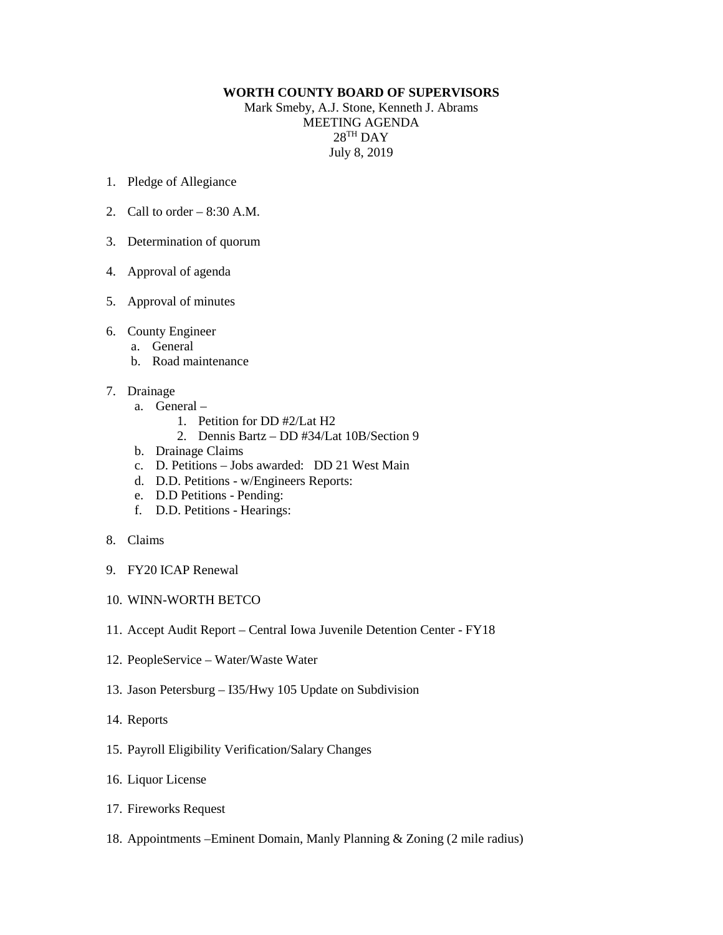## **WORTH COUNTY BOARD OF SUPERVISORS**

Mark Smeby, A.J. Stone, Kenneth J. Abrams MEETING AGENDA  $28^{TH}$  DAY July 8, 2019

- 1. Pledge of Allegiance
- 2. Call to order  $-8:30$  A.M.
- 3. Determination of quorum
- 4. Approval of agenda
- 5. Approval of minutes
- 6. County Engineer
	- a. General
	- b. Road maintenance
- 7. Drainage
	- a. General
		- 1. Petition for DD #2/Lat H2
		- 2. Dennis Bartz DD #34/Lat 10B/Section 9
	- b. Drainage Claims
	- c. D. Petitions Jobs awarded: DD 21 West Main
	- d. D.D. Petitions w/Engineers Reports:
	- e. D.D Petitions Pending:
	- f. D.D. Petitions Hearings:
- 8. Claims
- 9. FY20 ICAP Renewal
- 10. WINN-WORTH BETCO
- 11. Accept Audit Report Central Iowa Juvenile Detention Center FY18
- 12. PeopleService Water/Waste Water
- 13. Jason Petersburg I35/Hwy 105 Update on Subdivision
- 14. Reports
- 15. Payroll Eligibility Verification/Salary Changes
- 16. Liquor License
- 17. Fireworks Request
- 18. Appointments –Eminent Domain, Manly Planning & Zoning (2 mile radius)